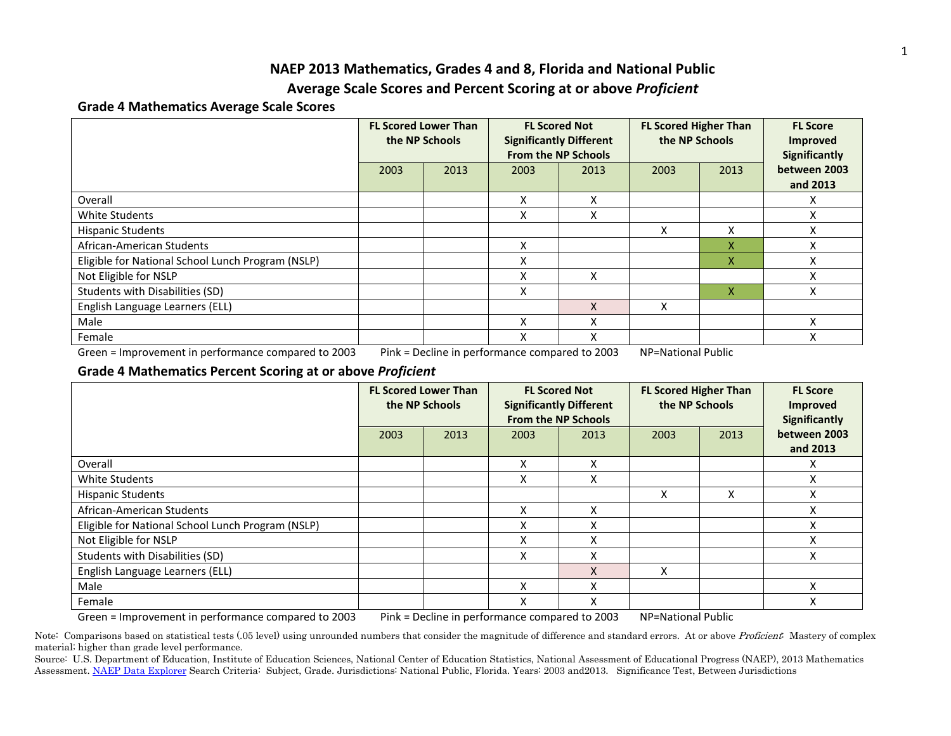## **NAEP 2013 Mathematics, Grades 4 and 8, Florida and National Public**

### **Average Scale Scores and Percent Scoring at or above** *Proficient*

### **Grade 4 Mathematics Average Scale Scores**

|                                                                                                                             | <b>FL Scored Lower Than</b><br>the NP Schools |      | <b>FL Scored Not</b><br><b>Significantly Different</b><br><b>From the NP Schools</b> |      | <b>FL Scored Higher Than</b><br>the NP Schools |      | <b>FL Score</b><br><b>Improved</b><br><b>Significantly</b> |  |  |
|-----------------------------------------------------------------------------------------------------------------------------|-----------------------------------------------|------|--------------------------------------------------------------------------------------|------|------------------------------------------------|------|------------------------------------------------------------|--|--|
|                                                                                                                             | 2003                                          | 2013 | 2003                                                                                 | 2013 | 2003                                           | 2013 | between 2003<br>and 2013                                   |  |  |
| Overall                                                                                                                     |                                               |      | x                                                                                    | X    |                                                |      | x                                                          |  |  |
| White Students                                                                                                              |                                               |      | x                                                                                    | X    |                                                |      | X                                                          |  |  |
| Hispanic Students                                                                                                           |                                               |      |                                                                                      |      | X.                                             | Χ    | x                                                          |  |  |
| African-American Students                                                                                                   |                                               |      | X                                                                                    |      |                                                | Χ    | Χ                                                          |  |  |
| Eligible for National School Lunch Program (NSLP)                                                                           |                                               |      | x                                                                                    |      |                                                | x    | x                                                          |  |  |
| Not Eligible for NSLP                                                                                                       |                                               |      | x                                                                                    | x    |                                                |      | Χ                                                          |  |  |
| Students with Disabilities (SD)                                                                                             |                                               |      | x                                                                                    |      |                                                | x    | x                                                          |  |  |
| English Language Learners (ELL)                                                                                             |                                               |      |                                                                                      |      | Χ                                              |      |                                                            |  |  |
| Male                                                                                                                        |                                               |      | x                                                                                    | х    |                                                |      | X                                                          |  |  |
| Female                                                                                                                      |                                               |      | x                                                                                    | x    |                                                |      | Χ                                                          |  |  |
| Green = Improvement in performance compared to 2003<br>NP=National Public<br>Pink = Decline in performance compared to 2003 |                                               |      |                                                                                      |      |                                                |      |                                                            |  |  |

### **Grade 4 Mathematics Percent Scoring at or above** *Proficient*

|                                                   | <b>FL Scored Lower Than</b><br>the NP Schools |      |      | <b>FL Scored Not</b><br><b>Significantly Different</b><br><b>From the NP Schools</b> |      | <b>FL Scored Higher Than</b><br>the NP Schools | <b>FL Score</b><br><b>Improved</b><br><b>Significantly</b> |
|---------------------------------------------------|-----------------------------------------------|------|------|--------------------------------------------------------------------------------------|------|------------------------------------------------|------------------------------------------------------------|
|                                                   | 2003                                          | 2013 | 2003 | 2013                                                                                 | 2003 | 2013                                           | between 2003<br>and 2013                                   |
| Overall                                           |                                               |      | X    | Χ                                                                                    |      |                                                | x                                                          |
| White Students                                    |                                               |      | x    | x                                                                                    |      |                                                | Χ                                                          |
| <b>Hispanic Students</b>                          |                                               |      |      |                                                                                      | x    | X                                              | Χ                                                          |
| African-American Students                         |                                               |      | X    | Χ                                                                                    |      |                                                | Χ                                                          |
| Eligible for National School Lunch Program (NSLP) |                                               |      | X    | Χ                                                                                    |      |                                                | X                                                          |
| Not Eligible for NSLP                             |                                               |      | x    | Χ                                                                                    |      |                                                | Χ                                                          |
| Students with Disabilities (SD)                   |                                               |      | X    | Χ                                                                                    |      |                                                | X                                                          |
| English Language Learners (ELL)                   |                                               |      |      | X                                                                                    | x    |                                                |                                                            |
| Male                                              |                                               |      | X    | Χ                                                                                    |      |                                                | X                                                          |
| Female                                            |                                               |      | X    | Χ                                                                                    |      |                                                | X                                                          |

Green = Improvement in performance compared to 2003 Pink = Decline in performance compared to 2003 NP=National Public

Note: Comparisons based on statistical tests (.05 level) using unrounded numbers that consider the magnitude of difference and standard errors. At or above Proficient: Mastery of complex material; higher than grade level performance.

Source: U.S. Department of Education, Institute of Education Sciences, National Center of Education Statistics, National Assessment of Educational Progress (NAEP), 2013 Mathematics Assessment. [NAEP Data Explorer](http://nces.ed.gov/nationsreportcard/naepdata/) Search Criteria: Subject, Grade. Jurisdictions: National Public, Florida. Years: 2003 and2013. Significance Test, Between Jurisdictions